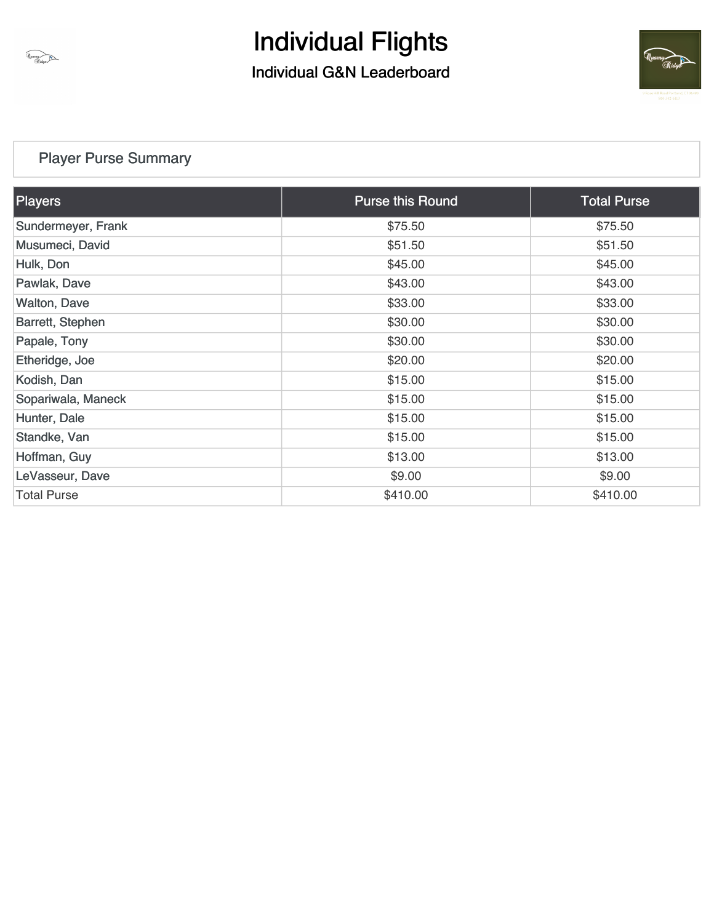

### Individual G&N Leaderboard



### [Player Purse Summary](https://static.golfgenius.com/v2tournaments/total_purse?league_id=8473468289782135702&round_id=8473468374104423409)

| <b>Players</b>      | <b>Purse this Round</b> | <b>Total Purse</b> |
|---------------------|-------------------------|--------------------|
| Sundermeyer, Frank  | \$75.50                 | \$75.50            |
| Musumeci, David     | \$51.50                 | \$51.50            |
| Hulk, Don           | \$45.00                 | \$45.00            |
| Pawlak, Dave        | \$43.00                 | \$43.00            |
| <b>Walton, Dave</b> | \$33.00                 | \$33.00            |
| Barrett, Stephen    | \$30.00                 | \$30.00            |
| Papale, Tony        | \$30.00                 | \$30.00            |
| Etheridge, Joe      | \$20.00                 | \$20.00            |
| Kodish, Dan         | \$15.00                 | \$15.00            |
| Sopariwala, Maneck  | \$15.00                 | \$15.00            |
| Hunter, Dale        | \$15.00                 | \$15.00            |
| Standke, Van        | \$15.00                 | \$15.00            |
| Hoffman, Guy        | \$13.00                 | \$13.00            |
| LeVasseur, Dave     | \$9.00                  | \$9.00             |
| <b>Total Purse</b>  | \$410.00                | \$410.00           |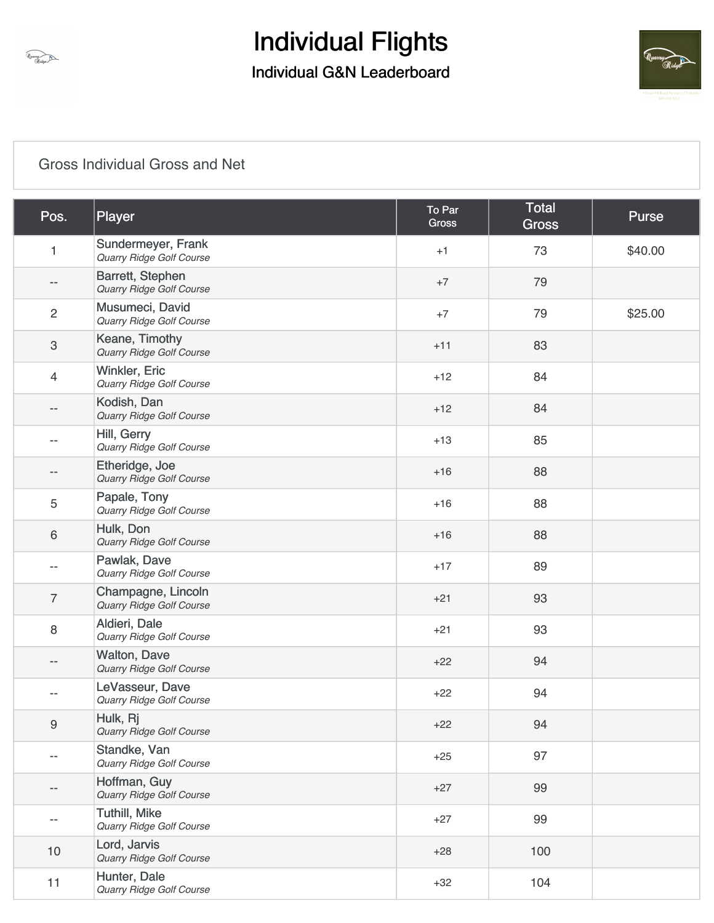



### [Gross Individual Gross and Net](https://static.golfgenius.com/v2tournaments/8473468473022888830?called_from=&round_index=1)

| Pos.                      | Player                                           | To Par<br><b>Gross</b> | Total<br><b>Gross</b> | <b>Purse</b> |
|---------------------------|--------------------------------------------------|------------------------|-----------------------|--------------|
| 1                         | Sundermeyer, Frank<br>Quarry Ridge Golf Course   | $+1$                   | 73                    | \$40.00      |
| $\overline{\phantom{a}}$  | Barrett, Stephen<br>Quarry Ridge Golf Course     | $+7$                   | 79                    |              |
| $\overline{c}$            | Musumeci, David<br>Quarry Ridge Golf Course      | $+7$                   | 79                    | \$25.00      |
| $\ensuremath{\mathsf{3}}$ | Keane, Timothy<br>Quarry Ridge Golf Course       | $+11$                  | 83                    |              |
| 4                         | <b>Winkler, Eric</b><br>Quarry Ridge Golf Course | $+12$                  | 84                    |              |
| --                        | Kodish, Dan<br>Quarry Ridge Golf Course          | $+12$                  | 84                    |              |
| --                        | Hill, Gerry<br>Quarry Ridge Golf Course          | $+13$                  | 85                    |              |
| --                        | Etheridge, Joe<br>Quarry Ridge Golf Course       | $+16$                  | 88                    |              |
| 5                         | Papale, Tony<br><b>Quarry Ridge Golf Course</b>  | $+16$                  | 88                    |              |
| 6                         | Hulk, Don<br>Quarry Ridge Golf Course            | $+16$                  | 88                    |              |
|                           | Pawlak, Dave<br>Quarry Ridge Golf Course         | $+17$                  | 89                    |              |
| $\overline{7}$            | Champagne, Lincoln<br>Quarry Ridge Golf Course   | $+21$                  | 93                    |              |
| 8                         | Aldieri, Dale<br>Quarry Ridge Golf Course        | $+21$                  | 93                    |              |
| --                        | <b>Walton, Dave</b><br>Quarry Ridge Golf Course  | $+22$                  | 94                    |              |
| $-$                       | LeVasseur, Dave<br>Quarry Ridge Golf Course      | $+22$                  | 94                    |              |
| $\boldsymbol{9}$          | Hulk, Rj<br><b>Quarry Ridge Golf Course</b>      | $+22$                  | 94                    |              |
| $\overline{\phantom{a}}$  | Standke, Van<br>Quarry Ridge Golf Course         | $+25$                  | 97                    |              |
|                           | Hoffman, Guy<br>Quarry Ridge Golf Course         | $+27$                  | 99                    |              |
| $\overline{\phantom{m}}$  | <b>Tuthill, Mike</b><br>Quarry Ridge Golf Course | $+27$                  | 99                    |              |
| 10                        | Lord, Jarvis<br>Quarry Ridge Golf Course         | $+28$                  | 100                   |              |
| 11                        | Hunter, Dale<br>Quarry Ridge Golf Course         | $+32$                  | 104                   |              |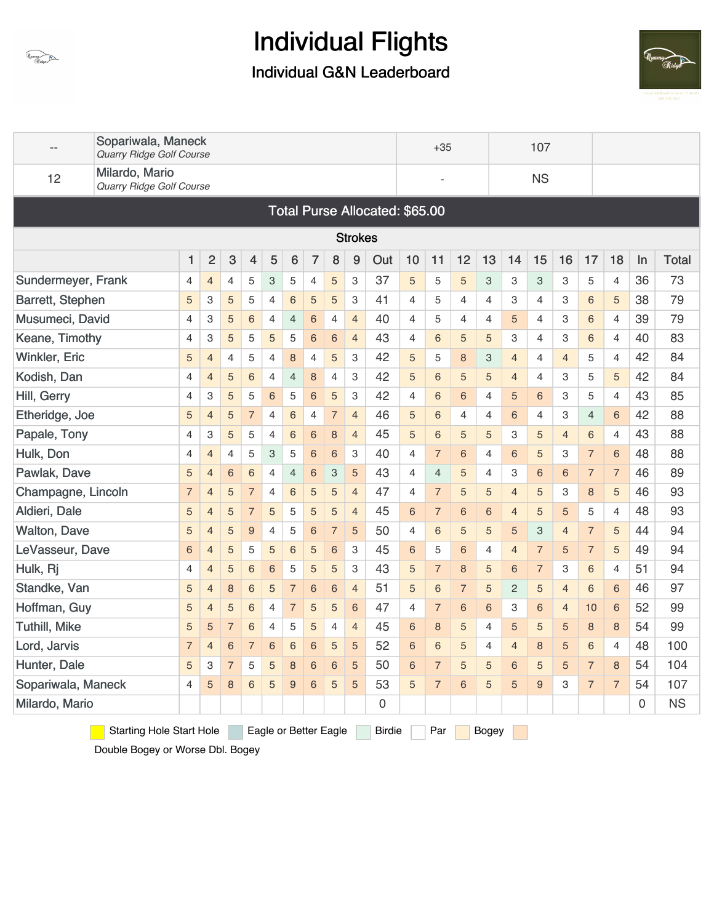

### Individual G&N Leaderboard



|                      | Sopariwala, Maneck<br><b>Quarry Ridge Golf Course</b>                              |                |                |                 |                |                |                 |                |                |                |                                |                | $+35$           |                |    |                 | 107            |                |                |                |    |              |
|----------------------|------------------------------------------------------------------------------------|----------------|----------------|-----------------|----------------|----------------|-----------------|----------------|----------------|----------------|--------------------------------|----------------|-----------------|----------------|----|-----------------|----------------|----------------|----------------|----------------|----|--------------|
| 12                   | Milardo, Mario<br>Quarry Ridge Golf Course                                         |                |                |                 |                |                |                 |                |                |                |                                |                |                 |                |    |                 | <b>NS</b>      |                |                |                |    |              |
|                      |                                                                                    |                |                |                 |                |                |                 |                |                |                | Total Purse Allocated: \$65.00 |                |                 |                |    |                 |                |                |                |                |    |              |
|                      |                                                                                    |                |                |                 |                |                |                 |                |                | <b>Strokes</b> |                                |                |                 |                |    |                 |                |                |                |                |    |              |
|                      |                                                                                    | 1              | $\overline{c}$ | 3               | 4              | 5              | 6               | $\overline{7}$ | 8              | 9              | Out                            | 10             | 11              | 12             | 13 | 14              | 15             | 16             | 17             | 18             | In | <b>Total</b> |
| Sundermeyer, Frank   |                                                                                    | 4              | $\overline{4}$ | 4               | 5              | 3              | 5               | 4              | 5              | 3              | 37                             | $\overline{5}$ | 5               | 5              | 3  | 3               | 3              | 3              | 5              | 4              | 36 | 73           |
| Barrett, Stephen     |                                                                                    | 5              | 3              | 5               | 5              | 4              | 6               | 5              | 5              | 3              | 41                             | 4              | 5               | $\overline{4}$ | 4  | 3               | 4              | 3              | 6              | 5              | 38 | 79           |
| Musumeci, David      |                                                                                    | 4              | 3              | 5               | 6              | 4              | 4               | 6              | $\overline{4}$ | $\overline{4}$ | 40                             | $\overline{4}$ | 5               | 4              | 4  | 5               | 4              | 3              | 6              | 4              | 39 | 79           |
| Keane, Timothy       |                                                                                    | 4              | 3              | 5               | 5              | 5              | 5               | 6              | 6              | $\overline{4}$ | 43                             | $\overline{4}$ | 6               | 5              | 5  | 3               | 4              | 3              | 6              | 4              | 40 | 83           |
| <b>Winkler, Eric</b> |                                                                                    | 5              | $\overline{4}$ | $\overline{4}$  | 5              | 4              | 8               | 4              | 5              | 3              | 42                             | 5              | 5               | 8              | 3  | $\overline{4}$  | 4              | $\overline{4}$ | 5              | 4              | 42 | 84           |
| Kodish, Dan          |                                                                                    | 4              | $\overline{4}$ | 5               | 6              | 4              | $\overline{4}$  | 8              | 4              | 3              | 42                             | 5              | 6               | 5              | 5  | $\overline{4}$  | 4              | 3              | 5              | 5              | 42 | 84           |
| Hill, Gerry          |                                                                                    | 4              | 3              | 5               | 5              | 6              | 5               | 6              | 5              | 3              | 42                             | $\overline{4}$ | $6\phantom{1}6$ | 6              | 4  | 5               | 6              | 3              | 5              | 4              | 43 | 85           |
| Etheridge, Joe       |                                                                                    | 5              | $\overline{4}$ | 5               | $\overline{7}$ | 4              | 6               | $\overline{4}$ | $\overline{7}$ | $\overline{4}$ | 46                             | 5              | 6               | $\overline{4}$ | 4  | $6\phantom{1}6$ | $\overline{4}$ | 3              | $\overline{4}$ | 6              | 42 | 88           |
| Papale, Tony         |                                                                                    | 4              | 3              | 5               | 5              | 4              | $6\phantom{1}6$ | 6              | 8              | $\overline{4}$ | 45                             | 5              | 6               | 5              | 5  | 3               | 5              | $\overline{4}$ | $\,6$          | 4              | 43 | 88           |
| Hulk, Don            |                                                                                    | 4              | $\overline{4}$ | $\overline{4}$  | 5              | 3              | 5               | 6              | 6              | 3              | 40                             | 4              | $\overline{7}$  | 6              | 4  | 6               | 5              | 3              | 7              | 6              | 48 | 88           |
| Pawlak, Dave         |                                                                                    | 5              | $\overline{4}$ | 6               | 6              | 4              | 4               | 6              | 3              | 5              | 43                             | $\overline{4}$ | $\overline{4}$  | 5              | 4  | 3               | 6              | 6              | 7              | $\overline{7}$ | 46 | 89           |
| Champagne, Lincoln   |                                                                                    | $\overline{7}$ | $\overline{4}$ | 5               | $\overline{7}$ | 4              | $6\phantom{1}6$ | 5              | 5              | $\overline{4}$ | 47                             | $\overline{4}$ | $\overline{7}$  | 5              | 5  | $\overline{4}$  | 5              | З              | 8              | 5              | 46 | 93           |
| Aldieri, Dale        |                                                                                    | 5              | $\overline{4}$ | 5               | 7              | 5              | 5               | 5              | 5              | $\overline{4}$ | 45                             | 6              | $\overline{7}$  | 6              | 6  | $\overline{4}$  | 5              | 5              | 5              | 4              | 48 | 93           |
| <b>Walton, Dave</b>  |                                                                                    | 5              | $\overline{4}$ | 5               | 9              | 4              | 5               | 6              | 7              | 5              | 50                             | $\overline{4}$ | 6               | 5              | 5  | 5               | 3              | $\overline{4}$ | 7              | 5              | 44 | 94           |
| LeVasseur, Dave      |                                                                                    | 6              | $\overline{4}$ | 5               | 5              | 5              | 6               | 5              | 6              | 3              | 45                             | 6              | 5               | 6              | 4  | $\overline{4}$  | $\overline{7}$ | 5              | $\overline{7}$ | 5              | 49 | 94           |
| Hulk, Rj             |                                                                                    | 4              | $\overline{4}$ | 5               | 6              | 6              | 5               | 5              | 5              | 3              | 43                             | 5              | $\overline{7}$  | 8              | 5  | $6\phantom{1}6$ | $\overline{7}$ | 3              | $\,6$          | 4              | 51 | 94           |
| Standke, Van         |                                                                                    | 5              | $\overline{4}$ | 8               | 6              | 5              | $\overline{7}$  | 6              | 6              | $\overline{4}$ | 51                             | 5              | 6               | 7              | 5  | $\overline{c}$  | 5              | 4              | 6              | 6              | 46 | 97           |
| Hoffman, Guy         |                                                                                    | 5              | $\overline{4}$ | 5               | 6              | 4              | $\overline{7}$  | 5              | 5              | $6\phantom{1}$ | 47                             | $\overline{4}$ | $\overline{7}$  | 6              | 6  | 3               | 6              | 4              | 10             | 6              | 52 | 99           |
| <b>Tuthill, Mike</b> |                                                                                    | 5              | 5              | $\overline{7}$  | 6              | $\overline{4}$ | 5               | 5              | $\overline{4}$ | $\overline{4}$ | 45                             | 6              | 8               | 5              | 4  | 5               | 5              | 5              | 8              | 8              | 54 | 99           |
| Lord, Jarvis         |                                                                                    | $\overline{7}$ | $\overline{4}$ | $6\phantom{1}6$ | $\overline{7}$ | $6\phantom{1}$ | 6               | 6              | 5              | 5              | 52                             | 6              | 6               | 5              | 4  | $\overline{4}$  | 8              | 5              | 6              | 4              | 48 | 100          |
| Hunter, Dale         |                                                                                    | 5              | З              | $\overline{7}$  | 5              | 5              | 8               | 6              | 6              | 5              | 50                             | 6              | $\overline{7}$  | 5              | 5  | 6               | 5              | 5              | 7              | 8              | 54 | 104          |
| Sopariwala, Maneck   |                                                                                    | 4              | 5              | 8               | 6              | 5              | 9               | 6              | 5              | 5              | 53                             | 5              | $\overline{7}$  | 6              | 5  | 5               | 9              | 3              | $\overline{7}$ | $\overline{7}$ | 54 | 107          |
| Milardo, Mario       |                                                                                    |                |                |                 |                |                |                 |                |                |                | 0                              |                |                 |                |    |                 |                |                |                |                | 0  | <b>NS</b>    |
|                      | <b>Starting Hole Start Hole</b><br>Par<br>Eagle or Better Eagle<br>Birdie<br>Bogey |                |                |                 |                |                |                 |                |                |                |                                |                |                 |                |    |                 |                |                |                |                |    |              |

Double Bogey or Worse Dbl. Bogey

Quarry Ridge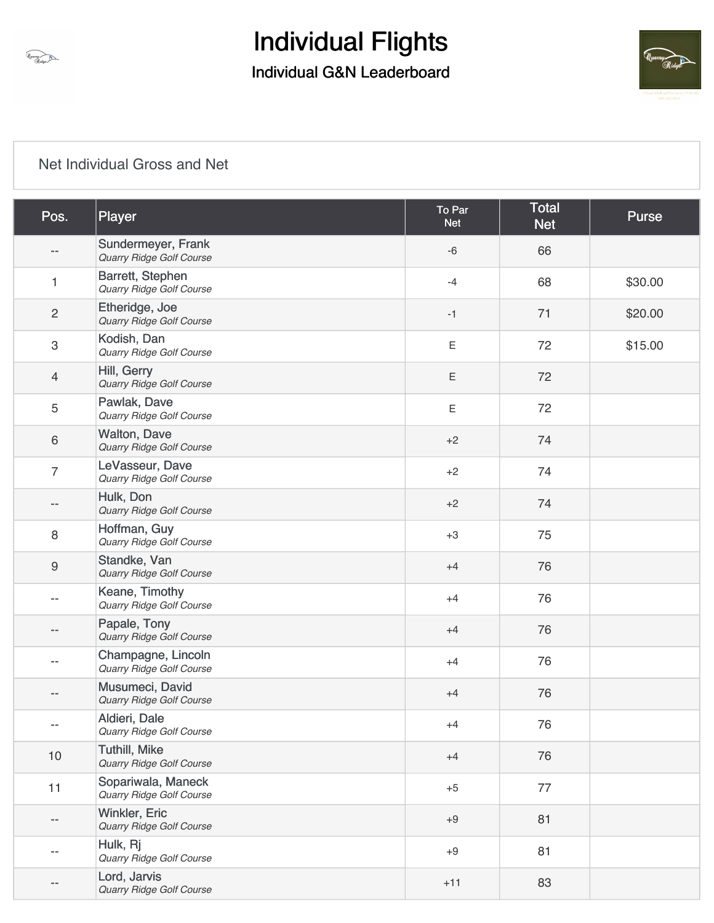



### [Net Individual Gross and Net](https://static.golfgenius.com/v2tournaments/8473468475942124415?called_from=&round_index=1)

| Pos.                      | Player                                           | To Par<br><b>Net</b> | <b>Total</b><br><b>Net</b> | <b>Purse</b> |
|---------------------------|--------------------------------------------------|----------------------|----------------------------|--------------|
|                           | Sundermeyer, Frank<br>Quarry Ridge Golf Course   | $-6$                 | 66                         |              |
| 1                         | Barrett, Stephen<br>Quarry Ridge Golf Course     | $-4$                 | 68                         | \$30.00      |
| $\overline{c}$            | Etheridge, Joe<br>Quarry Ridge Golf Course       | $-1$                 | 71                         | \$20.00      |
| $\ensuremath{\mathsf{3}}$ | Kodish, Dan<br>Quarry Ridge Golf Course          | $\mathsf E$          | 72                         | \$15.00      |
| $\overline{4}$            | Hill, Gerry<br>Quarry Ridge Golf Course          | $\mathsf E$          | 72                         |              |
| $\mathbf 5$               | Pawlak, Dave<br>Quarry Ridge Golf Course         | $\mathsf E$          | 72                         |              |
| $\,6\,$                   | <b>Walton, Dave</b><br>Quarry Ridge Golf Course  | $+2$                 | 74                         |              |
| $\overline{7}$            | LeVasseur, Dave<br>Quarry Ridge Golf Course      | $+2$                 | 74                         |              |
|                           | Hulk, Don<br>Quarry Ridge Golf Course            | $+2$                 | 74                         |              |
| $\,8\,$                   | Hoffman, Guy<br>Quarry Ridge Golf Course         | $+3$                 | 75                         |              |
| $\boldsymbol{9}$          | Standke, Van<br>Quarry Ridge Golf Course         | $+4$                 | 76                         |              |
| --                        | Keane, Timothy<br>Quarry Ridge Golf Course       | $+4$                 | 76                         |              |
|                           | Papale, Tony<br>Quarry Ridge Golf Course         | $+4$                 | 76                         |              |
| --                        | Champagne, Lincoln<br>Quarry Ridge Golf Course   | $+4$                 | 76                         |              |
|                           | Musumeci, David<br>Quarry Ridge Golf Course      | $+4$                 | 76                         |              |
| $-$                       | Aldieri, Dale<br><b>Quarry Ridge Golf Course</b> | $+4$                 | 76                         |              |
| 10                        | <b>Tuthill, Mike</b><br>Quarry Ridge Golf Course | $+4$                 | 76                         |              |
| 11                        | Sopariwala, Maneck<br>Quarry Ridge Golf Course   | $+5$                 | 77                         |              |
|                           | Winkler, Eric<br><b>Quarry Ridge Golf Course</b> | $+9$                 | 81                         |              |
| $-$                       | Hulk, Rj<br>Quarry Ridge Golf Course             | $+9$                 | 81                         |              |
|                           | Lord, Jarvis<br>Quarry Ridge Golf Course         | $+11$                | 83                         |              |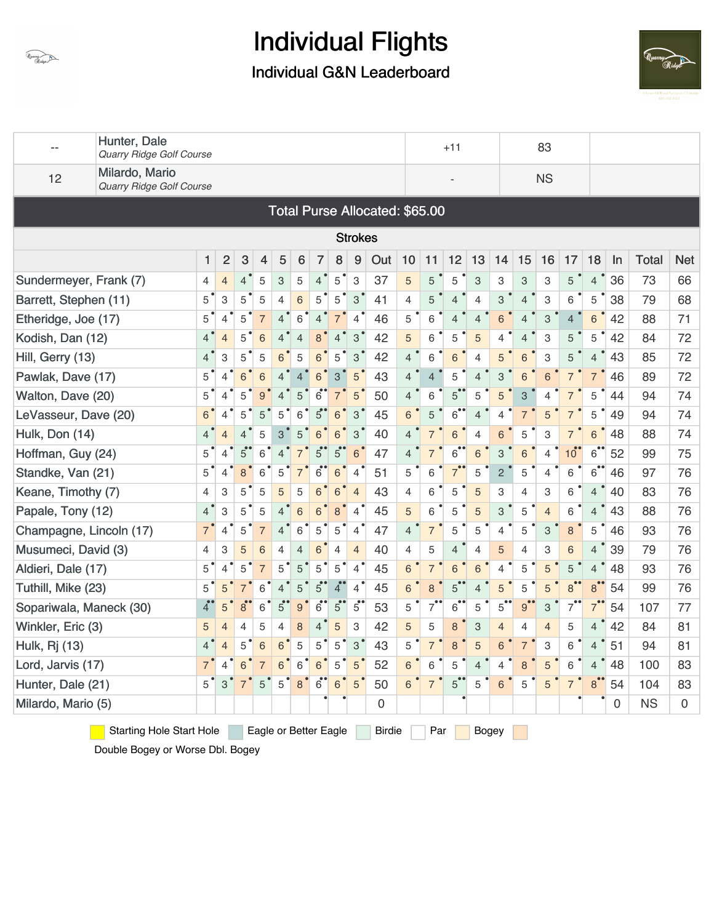

### Individual G&N Leaderboard



| $-$                     | Hunter, Dale<br><b>Quarry Ridge Golf Course</b>                                                  |                            |                                                |                |                |                           |                  |                |                |                          |                                |                |                | $+11$                |                |                |                           | 83             |                |                |             |              |            |
|-------------------------|--------------------------------------------------------------------------------------------------|----------------------------|------------------------------------------------|----------------|----------------|---------------------------|------------------|----------------|----------------|--------------------------|--------------------------------|----------------|----------------|----------------------|----------------|----------------|---------------------------|----------------|----------------|----------------|-------------|--------------|------------|
| 12                      | Milardo, Mario<br>Quarry Ridge Golf Course                                                       |                            |                                                |                |                |                           |                  |                |                |                          |                                |                |                |                      |                |                |                           | <b>NS</b>      |                |                |             |              |            |
|                         |                                                                                                  |                            |                                                |                |                |                           |                  |                |                |                          | Total Purse Allocated: \$65.00 |                |                |                      |                |                |                           |                |                |                |             |              |            |
|                         |                                                                                                  |                            |                                                |                |                |                           |                  |                |                | <b>Strokes</b>           |                                |                |                |                      |                |                |                           |                |                |                |             |              |            |
|                         |                                                                                                  | 1                          | $\overline{c}$                                 | 3              | 4              | 5                         | 6                | 7              | 8              | 9                        | Out                            | 10             | 11             | 12                   | 13             | 14             | 15                        | 16             | 17             | 18             | In          | <b>Total</b> | <b>Net</b> |
| Sundermeyer, Frank (7)  |                                                                                                  | 4                          | $\overline{4}$                                 | $\overline{4}$ | 5              | $\ensuremath{\mathsf{3}}$ | 5                | $\overline{4}$ | 5              | 3                        | 37                             | 5              | 5              | 5                    | 3              | 3              | 3                         | 3              | 5              | $\overline{4}$ | 36          | 73           | 66         |
| Barrett, Stephen (11)   |                                                                                                  | 5                          | 3                                              | 5              | 5              | $\overline{4}$            | $6\phantom{1}$   | 5              | 5              | 3                        | 41                             | $\overline{4}$ | 5              | $\overline{4}$       | 4              | 3              | $\overline{4}$            | 3              | 6              | 5              | 38          | 79           | 68         |
| Etheridge, Joe (17)     |                                                                                                  | 5                          | $\overline{4}$                                 | 5              | $\overline{7}$ | $\overline{4}$            | 6                | $\overline{4}$ | 7              | $\overline{\mathcal{A}}$ | 46                             | 5              | 6              | $\overline{4}$       | $\overline{4}$ | 6              | $\overline{4}$            | 3              | $\overline{4}$ | 6              | 42          | 88           | 71         |
| Kodish, Dan (12)        |                                                                                                  | $4^{\degree}$              | $\overline{4}$                                 | 5              | 6              | $\overline{4}$            | $\overline{4}$   |                |                | 3                        | 42                             | 5              | 6              | 5                    | 5              | 4              | 4                         | 3              | 5              | 5              | 42          | 84           | 72         |
| Hill, Gerry (13)        |                                                                                                  | $4^{\degree}$              | 3                                              | 5              | 5              | 6                         | 5                | 6              | 5              | 3                        | 42                             | $\overline{4}$ | 6              | 6                    | 4              | 5              | 6                         | 3              | 5              | $\overline{4}$ | 43          | 85           | 72         |
| Pawlak, Dave (17)       |                                                                                                  | $5^{\degree}$              | $\overline{4}$                                 | 6              | 6              | $\overline{4}$            | $\overline{4}$   | 6              | 3              | 5                        | 43                             | $\overline{4}$ | $\overline{4}$ | 5                    | $\overline{4}$ | 3              | 6                         | 6              | $\overline{7}$ | $\overline{7}$ | 46          | 89           | 72         |
| Walton, Dave (20)       |                                                                                                  | $5^{\degree}$              | 4                                              | 5              | 9              | $\overline{\mathcal{A}}$  | 5                | $6^{\bullet}$  |                | 5                        | 50                             | $\overline{4}$ | 6              | 5                    | 5              | 5              | $\ensuremath{\mathsf{3}}$ | 4              | $\overline{7}$ | 5              | 44          | 94           | 74         |
| LeVasseur, Dave (20)    |                                                                                                  | 6                          | 4                                              | 5              | 5              | 5                         | 6                | 5              | 6              | 3                        | 45                             | 6              | 5              | $6$ <sup>**</sup>    | $\overline{4}$ | $\overline{4}$ |                           | 5              | $\overline{7}$ | 5              | 49          | 94           | 74         |
| Hulk, Don (14)          |                                                                                                  | $4^{\degree}$              | $\overline{4}$                                 | 4              | 5              | 3                         | 5                | 6              | 6              | 3                        | 40                             | $\overline{4}$ | $\overline{7}$ | 6                    | 4              | 6              | 5                         | 3              | $\overline{7}$ | 6              | 48          | 88           | 74         |
| Hoffman, Guy (24)       |                                                                                                  | $5^{\degree}$              | $\overline{4}$                                 | $5^{\circ}$    | 6              | $\overline{4}$            |                  | 5              | $\overline{5}$ | 6                        | 47                             | $\overline{4}$ | $\overline{7}$ | $6^{\bullet}$        | 6              | 3              | 6                         | 4              | $10^{\degree}$ | $6^{\circ}$    | 52          | 99           | 75         |
| Standke, Van (21)       |                                                                                                  | 5                          | 4                                              | 8              | 6              | 5                         | $\overline{7}$   | $6^{\circ}$    | 6              | $\overline{\mathcal{A}}$ | 51                             | 5              | 6              | 7 <sup>°</sup>       | 5              | $\overline{c}$ | 5                         | 4              | 6              | 6              | 46          | 97           | 76         |
| Keane, Timothy (7)      |                                                                                                  | $\overline{4}$             | 3                                              | 5              | 5              | 5                         | 5                | 6              | 6              | $\overline{4}$           | 43                             | $\overline{4}$ | 6              | 5                    | 5              | 3              | $\overline{4}$            | 3              | 6              | $\overline{4}$ | 40          | 83           | 76         |
| Papale, Tony (12)       |                                                                                                  | 4 <sup>°</sup>             | 3                                              | 5              | 5              | $\overline{4}$            | $6\phantom{1}$   | 6              | 8              | 4                        | 45                             | 5              | 6              | 5                    | 5              | 3              | 5                         | $\overline{4}$ | 6              | $\overline{4}$ | 43          | 88           | 76         |
| Champagne, Lincoln (17) |                                                                                                  | $\overline{7}$             | $\overline{4}$                                 | 5              | $\overline{7}$ | $\overline{4}$            | 6                | 5              | 5              | 4                        | 47                             | 4              | $\overline{7}$ | 5                    | 5              | 4              | 5                         | 3              | 8              | 5              | 46          | 93           | 76         |
| Musumeci, David (3)     |                                                                                                  | 4                          | 3                                              | 5              | 6              | 4                         | $\overline{4}$   | 6              | 4              | $\overline{4}$           | 40                             | 4              | 5              | $\overline{4}$       | $\overline{4}$ | 5              | 4                         | 3              | 6              | $\overline{4}$ | 39          | 79           | 76         |
| Aldieri, Dale (17)      |                                                                                                  | $5^{\degree}$              | $\overline{4}$ <sup><math>\bullet</math></sup> | 5              | $\overline{7}$ | 5                         | 5                | 5              | 5              | $\overline{4}$           | 45                             | 6              | $\overline{7}$ | 6                    | 6              | $\overline{4}$ | 5                         | 5              | 5              | $\overline{4}$ | 48          | 93           | 76         |
| Tuthill, Mike (23)      |                                                                                                  | 5                          | 5                                              |                | 6              | $\overline{4}$            | 5                | 5              | $\mathbf{4}$   | $\overline{4}$           | 45                             | 6              | 8              | $5^\bullet$          | 4              | 5              | 5                         | 5              | 8 <sup>°</sup> | 8              | 54          | 99           | 76         |
| Sopariwala, Maneck (30) |                                                                                                  | $\boldsymbol{4}^{\bullet}$ | 5                                              | 8              | 6              | $5^{\circ}$               | $\boldsymbol{9}$ | $6^{\bullet}$  | $5^{\circ}$    | $5^{\circ}$              | 53                             | 5              | 7              | $6^{\bullet\bullet}$ | 5              | 5              | 9                         | 3              | 7              |                | 54          | 107          | 77         |
| Winkler, Eric (3)       |                                                                                                  | 5                          | $\overline{4}$                                 | $\overline{4}$ | 5              | $\overline{4}$            | 8                | 4              | 5              | 3                        | 42                             | 5              | 5              | 8                    | $\mathbf{3}$   | $\overline{4}$ | $\overline{4}$            | $\overline{4}$ | 5              | $\overline{4}$ | 42          | 84           | 81         |
| Hulk, Rj (13)           |                                                                                                  | $4^{\degree}$              | $\overline{4}$                                 | 5              | 6              | 6                         | 5                | 5              | 5              | 3                        | 43                             | 5              | $\overline{7}$ | 8                    | 5              | 6              | $\overline{7}$            | 3              | 6              | $\overline{4}$ | 51          | 94           | 81         |
| Lord, Jarvis (17)       |                                                                                                  | $7^{\degree}$              | 4                                              | 6              | $\overline{7}$ | 6                         | 6                | 6 <sup>°</sup> | 5              | 5                        | 52                             | 6              | 6              | 5                    | $\overline{4}$ | 4              | 8                         | 5              | 6              | $\overline{4}$ | 48          | 100          | 83         |
| Hunter, Dale (21)       |                                                                                                  | 5                          | 3                                              | $\overline{7}$ | 5              | 5                         | $\bf 8$          | $\overline{6}$ | 6              | 5                        | 50                             | 6              | $\overline{7}$ | 5                    | 5              | 6              | 5                         | 5              | $\overline{7}$ | 8              | 54          | 104          | 83         |
| Milardo, Mario (5)      |                                                                                                  |                            |                                                |                |                |                           |                  |                |                |                          | 0                              |                |                |                      |                |                |                           |                |                |                | $\mathbf 0$ | <b>NS</b>    | $\Omega$   |
|                         | <b>Starting Hole Start Hole</b><br>Eagle or Better Eagle<br><b>Birdie</b><br>Par<br><b>Bogey</b> |                            |                                                |                |                |                           |                  |                |                |                          |                                |                |                |                      |                |                |                           |                |                |                |             |              |            |

Double Bogey or Worse Dbl. Bogey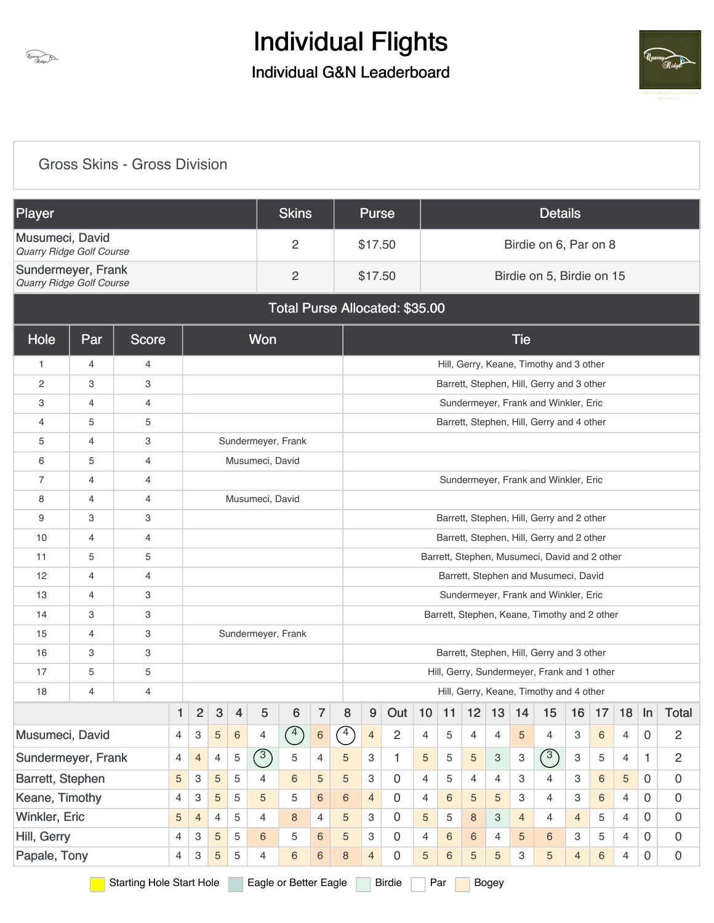



### [Gross Skins - Gross Division](https://static.golfgenius.com/v2tournaments/8473468486209780609?called_from=&round_index=1)

| <b>Player</b>                                         |                                                                                           |              |                |                | <b>Skins</b> |                                                                                                                                               |                    | <b>Purse</b>   |                                      |                                               |                |                                |                |    | <b>Details</b>  |                |                |                                              |                |    |                |             |                     |
|-------------------------------------------------------|-------------------------------------------------------------------------------------------|--------------|----------------|----------------|--------------|-----------------------------------------------------------------------------------------------------------------------------------------------|--------------------|----------------|--------------------------------------|-----------------------------------------------|----------------|--------------------------------|----------------|----|-----------------|----------------|----------------|----------------------------------------------|----------------|----|----------------|-------------|---------------------|
| Musumeci, David<br>Quarry Ridge Golf Course           |                                                                                           |              |                |                |              |                                                                                                                                               |                    | 2              |                                      |                                               | \$17.50        |                                |                |    |                 |                |                | Birdie on 6, Par on 8                        |                |    |                |             |                     |
| Sundermeyer, Frank<br><b>Quarry Ridge Golf Course</b> |                                                                                           |              |                |                |              |                                                                                                                                               |                    | $\overline{c}$ |                                      |                                               | \$17.50        |                                |                |    |                 |                |                | Birdie on 5, Birdie on 15                    |                |    |                |             |                     |
|                                                       |                                                                                           |              |                |                |              |                                                                                                                                               |                    |                |                                      |                                               |                | Total Purse Allocated: \$35.00 |                |    |                 |                |                |                                              |                |    |                |             |                     |
| Hole                                                  | Par                                                                                       | <b>Score</b> |                |                |              |                                                                                                                                               | Won                |                |                                      |                                               |                |                                |                |    |                 |                | <b>Tie</b>     |                                              |                |    |                |             |                     |
| 1                                                     | 4                                                                                         | 4            |                |                |              |                                                                                                                                               |                    |                |                                      |                                               |                |                                |                |    |                 |                |                | Hill, Gerry, Keane, Timothy and 3 other      |                |    |                |             |                     |
| 2                                                     | 3                                                                                         | 3            |                |                |              |                                                                                                                                               |                    |                |                                      |                                               |                |                                |                |    |                 |                |                | Barrett, Stephen, Hill, Gerry and 3 other    |                |    |                |             |                     |
| 3                                                     | 4                                                                                         | 4            |                |                |              |                                                                                                                                               |                    |                |                                      |                                               |                |                                |                |    |                 |                |                | Sundermeyer, Frank and Winkler, Eric         |                |    |                |             |                     |
| 4                                                     | 5                                                                                         | 5            |                |                |              |                                                                                                                                               |                    |                |                                      |                                               |                |                                |                |    |                 |                |                | Barrett, Stephen, Hill, Gerry and 4 other    |                |    |                |             |                     |
| 5                                                     | 4                                                                                         | 3            |                |                |              |                                                                                                                                               | Sundermeyer, Frank |                |                                      |                                               |                |                                |                |    |                 |                |                |                                              |                |    |                |             |                     |
| 6                                                     | 5                                                                                         | 4            |                |                |              |                                                                                                                                               | Musumeci, David    |                |                                      |                                               |                |                                |                |    |                 |                |                |                                              |                |    |                |             |                     |
| 7                                                     | 4                                                                                         | 4            |                |                |              |                                                                                                                                               |                    |                | Sundermeyer, Frank and Winkler, Eric |                                               |                |                                |                |    |                 |                |                |                                              |                |    |                |             |                     |
| 8                                                     | 4                                                                                         | 4            |                |                |              |                                                                                                                                               | Musumeci, David    |                |                                      |                                               |                |                                |                |    |                 |                |                |                                              |                |    |                |             |                     |
| 9                                                     | 3                                                                                         | 3            |                |                |              |                                                                                                                                               |                    |                |                                      |                                               |                |                                |                |    |                 |                |                | Barrett, Stephen, Hill, Gerry and 2 other    |                |    |                |             |                     |
| 10                                                    | 4                                                                                         | 4            |                |                |              |                                                                                                                                               |                    |                |                                      |                                               |                |                                |                |    |                 |                |                | Barrett, Stephen, Hill, Gerry and 2 other    |                |    |                |             |                     |
| 11                                                    | 5                                                                                         | 5            |                |                |              |                                                                                                                                               |                    |                |                                      | Barrett, Stephen, Musumeci, David and 2 other |                |                                |                |    |                 |                |                |                                              |                |    |                |             |                     |
| 12                                                    | $\overline{4}$                                                                            | 4            |                |                |              |                                                                                                                                               |                    |                |                                      |                                               |                |                                |                |    |                 |                |                | Barrett, Stephen and Musumeci, David         |                |    |                |             |                     |
| 13                                                    | 4                                                                                         | 3            |                |                |              |                                                                                                                                               |                    |                |                                      |                                               |                |                                |                |    |                 |                |                | Sundermeyer, Frank and Winkler, Eric         |                |    |                |             |                     |
| 14                                                    | 3                                                                                         | 3            |                |                |              |                                                                                                                                               |                    |                |                                      |                                               |                |                                |                |    |                 |                |                | Barrett, Stephen, Keane, Timothy and 2 other |                |    |                |             |                     |
| 15                                                    | 4                                                                                         | 3            |                |                |              |                                                                                                                                               | Sundermeyer, Frank |                |                                      |                                               |                |                                |                |    |                 |                |                |                                              |                |    |                |             |                     |
| 16                                                    | 3                                                                                         | 3            |                |                |              |                                                                                                                                               |                    |                |                                      |                                               |                |                                |                |    |                 |                |                | Barrett, Stephen, Hill, Gerry and 3 other    |                |    |                |             |                     |
| 17                                                    | 5                                                                                         | 5            |                |                |              |                                                                                                                                               |                    |                |                                      |                                               |                |                                |                |    |                 |                |                | Hill, Gerry, Sundermeyer, Frank and 1 other  |                |    |                |             |                     |
| 18                                                    | 4                                                                                         | 4            |                |                |              |                                                                                                                                               |                    |                |                                      |                                               |                |                                |                |    |                 |                |                | Hill, Gerry, Keane, Timothy and 4 other      |                |    |                |             |                     |
|                                                       |                                                                                           |              | 1              | $\overline{c}$ | 3            | $\overline{4}$                                                                                                                                | 5                  | 6              | 7                                    | 8                                             | 9              | Out                            | 10             | 11 | 12              | 13             | 14             | 15                                           | 16             | 17 | 18             | In          | <b>Total</b>        |
| Musumeci, David                                       |                                                                                           |              | $\overline{4}$ | 3              | 5            | 6                                                                                                                                             | 4                  | $\circled{4}$  | $\,6\,$                              | $\curvearrowleft$                             | $\overline{4}$ | $\overline{2}$                 | $\overline{4}$ | 5  | 4               | 4              | 5              | $\overline{4}$                               | 3              | 6  | $\overline{4}$ | $\mathbf 0$ | $\overline{2}$      |
| Sundermeyer, Frank                                    |                                                                                           |              | 4              | $\overline{4}$ | 4            | (3)<br>(3)<br>5<br>5<br>$\ensuremath{\mathsf{3}}$<br>$\overline{2}$<br>5<br>З<br>5<br>5<br>3<br>5<br>1<br>4<br>1.<br>5<br>3<br>$\overline{4}$ |                    |                |                                      |                                               |                |                                |                |    |                 |                |                |                                              |                |    |                |             |                     |
| Barrett, Stephen                                      |                                                                                           |              | 5              | 3              | 5            | 5                                                                                                                                             | $\overline{4}$     | $6\phantom{1}$ | 5                                    | 5                                             | 3              | $\overline{0}$                 | $\overline{4}$ | 5  | $\overline{4}$  | $\overline{4}$ | З              | $\overline{4}$                               | 3              | 6  | $\sqrt{5}$     | 0           | $\mathbf 0$         |
| Keane, Timothy                                        |                                                                                           |              | 4              | 3              | 5            | 5                                                                                                                                             | 5                  | 5              | 6                                    | 6                                             | $\overline{4}$ | $\mathbf 0$                    | 4              | 6  | 5               | 5              | З              | 4                                            | 3              | 6  | $\overline{4}$ | $\mathbf 0$ | $\mathbf 0$         |
| Winkler, Eric                                         |                                                                                           |              | 5              | 4              | 4            | 5                                                                                                                                             | 4                  | 8              | 4                                    | 5                                             | З              | $\mathbf 0$                    | 5              | 5  | 8               | 3              | $\overline{4}$ | 4                                            | $\overline{4}$ | 5  | $\overline{4}$ | $\mathbf 0$ | $\mathbf 0$         |
| Hill, Gerry                                           |                                                                                           |              | 4              | 3              | 5            | 5                                                                                                                                             | 6                  | 5              | 6                                    | 5                                             | 3              | 0                              | $\overline{4}$ | 6  | $6\phantom{.}6$ | 4              | 5              | 6                                            | 3              | 5  | $\overline{4}$ | $\mathbf 0$ | 0                   |
| Papale, Tony                                          |                                                                                           |              | $\overline{4}$ | 3              | 5            | 5                                                                                                                                             | $\overline{4}$     | 6              | 6                                    | $\bf 8$                                       | $\overline{4}$ | $\mathbf 0$                    | 5              | 6  | $\sqrt{5}$      | 5              | З              | 5                                            | $\overline{4}$ | 6  | $\overline{4}$ | $\mathbf 0$ | $\mathsf{O}\xspace$ |
|                                                       | <b>Starting Hole Start Hole</b><br>Eagle or Better Eagle<br><b>Birdie</b><br>Par<br>Bogey |              |                |                |              |                                                                                                                                               |                    |                |                                      |                                               |                |                                |                |    |                 |                |                |                                              |                |    |                |             |                     |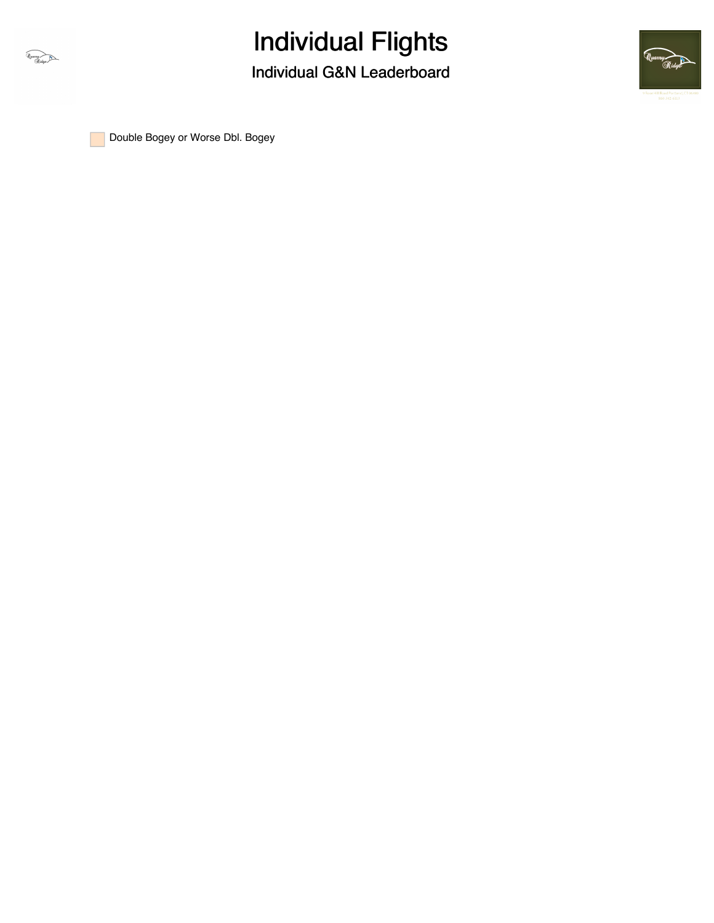



**Double Bogey or Worse Dbl. Bogey**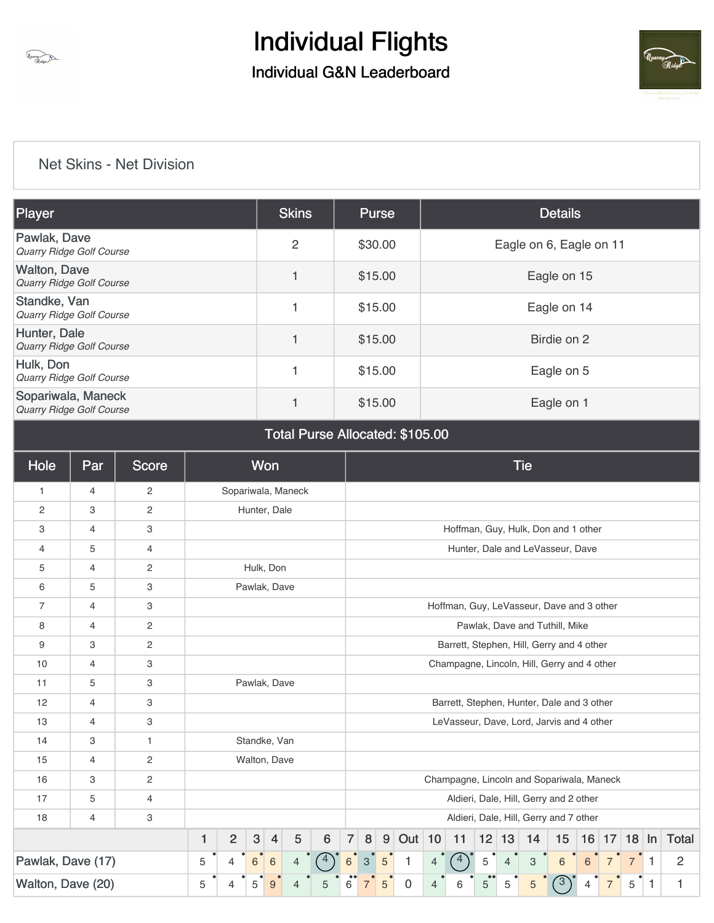



#### [Net Skins - Net Division](https://static.golfgenius.com/v2tournaments/8473468495034596226?called_from=&round_index=1)

| Player                                                | <b>Skins</b>   | Purse   | <b>Details</b>          |
|-------------------------------------------------------|----------------|---------|-------------------------|
| Pawlak, Dave<br>Quarry Ridge Golf Course              | $\overline{2}$ | \$30.00 | Eagle on 6, Eagle on 11 |
| <b>Walton, Dave</b><br>Quarry Ridge Golf Course       |                | \$15.00 | Eagle on 15             |
| Standke, Van<br>Quarry Ridge Golf Course              |                | \$15.00 | Eagle on 14             |
| Hunter, Dale<br>Quarry Ridge Golf Course              |                | \$15.00 | Birdie on 2             |
| Hulk, Don<br><b>Quarry Ridge Golf Course</b>          |                | \$15.00 | Eagle on 5              |
| Sopariwala, Maneck<br><b>Quarry Ridge Golf Course</b> |                | \$15.00 | Eagle on 1              |

#### Total Purse Allocated: \$105.00

| Hole              | Par | <b>Score</b>   |              |                                        |            | <b>Won</b>     |                    |   | <b>Tie</b>                                                                             |  |                                             |             |                |                                            |   |                |                           |                                |   |                |                |   |                |
|-------------------|-----|----------------|--------------|----------------------------------------|------------|----------------|--------------------|---|----------------------------------------------------------------------------------------|--|---------------------------------------------|-------------|----------------|--------------------------------------------|---|----------------|---------------------------|--------------------------------|---|----------------|----------------|---|----------------|
| $\mathbf{1}$      | 4   | $\overline{c}$ |              |                                        |            |                | Sopariwala, Maneck |   |                                                                                        |  |                                             |             |                |                                            |   |                |                           |                                |   |                |                |   |                |
| $\overline{2}$    | 3   | $\overline{c}$ |              |                                        |            | Hunter, Dale   |                    |   |                                                                                        |  |                                             |             |                |                                            |   |                |                           |                                |   |                |                |   |                |
| 3                 | 4   | 3              |              |                                        |            |                |                    |   |                                                                                        |  |                                             |             |                | Hoffman, Guy, Hulk, Don and 1 other        |   |                |                           |                                |   |                |                |   |                |
| 4                 | 5   | 4              |              |                                        |            |                |                    |   | Hunter, Dale and LeVasseur, Dave                                                       |  |                                             |             |                |                                            |   |                |                           |                                |   |                |                |   |                |
| 5                 | 4   | $\overline{c}$ |              |                                        |            | Hulk, Don      |                    |   |                                                                                        |  |                                             |             |                |                                            |   |                |                           |                                |   |                |                |   |                |
| 6                 | 5   | 3              |              |                                        |            | Pawlak, Dave   |                    |   |                                                                                        |  |                                             |             |                |                                            |   |                |                           |                                |   |                |                |   |                |
| $\overline{7}$    | 4   | 3              |              |                                        |            |                |                    |   |                                                                                        |  |                                             |             |                | Hoffman, Guy, LeVasseur, Dave and 3 other  |   |                |                           |                                |   |                |                |   |                |
| 8                 | 4   | $\overline{c}$ |              |                                        |            |                |                    |   |                                                                                        |  |                                             |             |                |                                            |   |                |                           | Pawlak, Dave and Tuthill, Mike |   |                |                |   |                |
| 9                 | 3   | $\overline{c}$ |              |                                        |            |                |                    |   |                                                                                        |  |                                             |             |                | Barrett, Stephen, Hill, Gerry and 4 other  |   |                |                           |                                |   |                |                |   |                |
| 10                | 4   | 3              |              |                                        |            |                |                    |   |                                                                                        |  | Champagne, Lincoln, Hill, Gerry and 4 other |             |                |                                            |   |                |                           |                                |   |                |                |   |                |
| 11                | 5   | 3              |              |                                        |            | Pawlak, Dave   |                    |   |                                                                                        |  |                                             |             |                |                                            |   |                |                           |                                |   |                |                |   |                |
| 12                | 4   | 3              |              |                                        |            |                |                    |   |                                                                                        |  |                                             |             |                | Barrett, Stephen, Hunter, Dale and 3 other |   |                |                           |                                |   |                |                |   |                |
| 13                | 4   | 3              |              |                                        |            |                |                    |   |                                                                                        |  |                                             |             |                | LeVasseur, Dave, Lord, Jarvis and 4 other  |   |                |                           |                                |   |                |                |   |                |
| 14                | 3   | $\mathbf{1}$   |              |                                        |            | Standke, Van   |                    |   |                                                                                        |  |                                             |             |                |                                            |   |                |                           |                                |   |                |                |   |                |
| 15                | 4   | $\overline{2}$ |              |                                        |            | Walton, Dave   |                    |   |                                                                                        |  |                                             |             |                |                                            |   |                |                           |                                |   |                |                |   |                |
| 16                | 3   | $\overline{c}$ |              |                                        |            |                |                    |   |                                                                                        |  |                                             |             |                | Champagne, Lincoln and Sopariwala, Maneck  |   |                |                           |                                |   |                |                |   |                |
| 17                | 5   | 4              |              |                                        |            |                |                    |   |                                                                                        |  |                                             |             |                | Aldieri, Dale, Hill, Gerry and 2 other     |   |                |                           |                                |   |                |                |   |                |
| 18                | 4   | 3              |              |                                        |            |                |                    |   | Aldieri, Dale, Hill, Gerry and 7 other                                                 |  |                                             |             |                |                                            |   |                |                           |                                |   |                |                |   |                |
|                   |     |                | $\mathbf{1}$ | $\overline{2}$                         | $\sqrt{3}$ | $\overline{4}$ | $5\,$              | 6 | $9$ Out 10<br>$\overline{7}$<br>8<br>$12$ 13<br>15<br>16 17 18 $\ln$ Total<br>11<br>14 |  |                                             |             |                |                                            |   |                |                           |                                |   |                |                |   |                |
| Pawlak, Dave (17) |     |                | 5            | $6\phantom{1}6$<br>6<br>$\overline{4}$ |            |                |                    |   |                                                                                        |  | $\sqrt{5}$                                  | 1           | $\overline{4}$ | 4                                          | 5 | $\overline{4}$ | $\ensuremath{\mathsf{3}}$ | $6\phantom{1}$                 | 6 | $\overline{7}$ | $\overline{7}$ |   | $\overline{2}$ |
| Walton, Dave (20) |     |                | 5            |                                        | 5          | 9              |                    | 5 | 6                                                                                      |  | 5                                           | $\mathbf 0$ | 4              | 6                                          | 5 | 5              | 5                         | $\mathbf{3}$                   | 4 |                | 5              | 1 | 1              |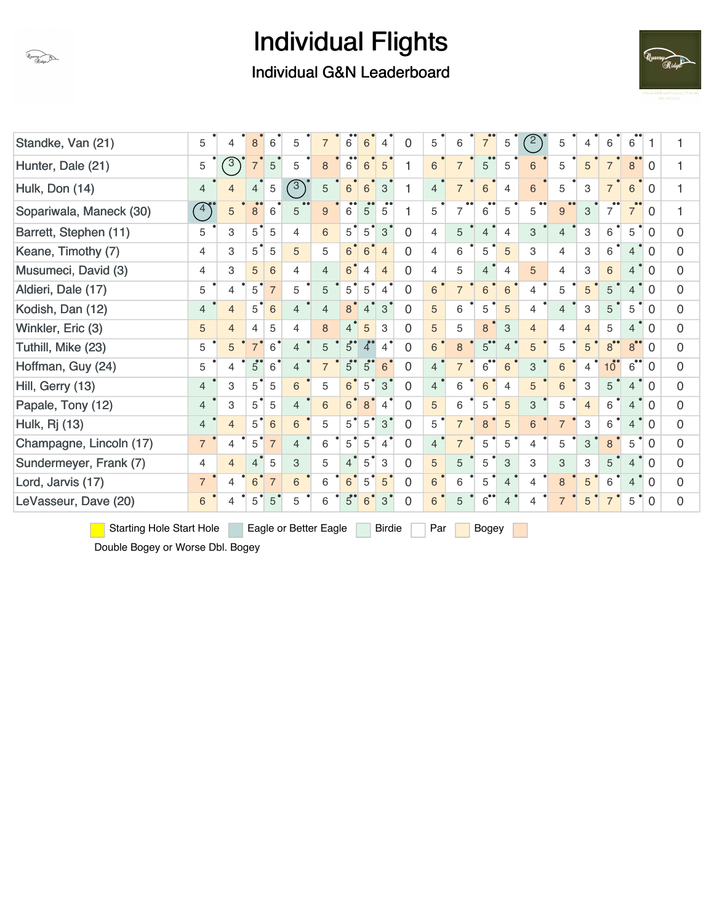

Individual G&N Leaderboard



| Standke, Van (21)       | 5              | 4              | 8              | 6              | 5              | $\overline{7}$ | 6              | 6              | $\overline{4}$ | $\Omega$       | 5              | 6              | $\overline{7}$               | 5              | (2)            | 5              | 4              | 6               | 6              |              | 1            |
|-------------------------|----------------|----------------|----------------|----------------|----------------|----------------|----------------|----------------|----------------|----------------|----------------|----------------|------------------------------|----------------|----------------|----------------|----------------|-----------------|----------------|--------------|--------------|
| Hunter, Dale (21)       | 5              | $\sqrt{3}$     | $\overline{7}$ | 5              | 5              | 8              | 6              | 6              | 5              |                | 6              | $\overline{7}$ | 5                            | 5              | 6              | 5              | 5              | $\overline{7}$  | 8              | 0            | 1            |
| Hulk, Don (14)          | $\overline{4}$ | $\overline{4}$ | $\overline{4}$ | $\sqrt{5}$     | $\sqrt{3}$     | 5              | $\,6$          | 6              | 3              |                | $\overline{4}$ | $\overline{7}$ | 6                            | 4              | 6              | 5              | 3              |                 | 6              | $\mathbf{0}$ | 1            |
| Sopariwala, Maneck (30) | (4)            | 5              | 8              | 6              | 5              | 9              | 6              | 5              | 5              |                | 5              | 7              | 6                            | 5              | 5              | 9              | 3              |                 | $\overline{7}$ | 0            | 1            |
| Barrett, Stephen (11)   | 5              | 3              | 5              | 5              | 4              | 6              | $5^{\degree}$  | $5^{\circ}$    | $\mathbf{3}$   | $\Omega$       | 4              | 5              | $\overline{4}$               | $\overline{4}$ | 3              | $\overline{4}$ | 3              | 6               | 5              | 0            | $\Omega$     |
| Keane, Timothy (7)      | 4              | 3              | 5              | 5              | 5              | 5              | 6 <sup>°</sup> | 6              | $\overline{4}$ | $\Omega$       | $\overline{4}$ | 6              | 5                            | 5              | 3              | 4              | 3              | 6               | $\overline{4}$ | $\Omega$     | $\mathbf 0$  |
| Musumeci, David (3)     | 4              | 3              | 5              | 6              | 4              | $\overline{4}$ | 6              | 4              | $\overline{4}$ | $\Omega$       | 4              | 5              | 4                            | 4              | 5              | 4              | 3              | 6               | $\overline{4}$ | 0            | $\mathbf{0}$ |
| Aldieri, Dale (17)      | 5              | 4              | 5              | $\overline{7}$ | 5              | 5              | 5 <sup>1</sup> | $5^{\circ}$    | $\overline{4}$ | $\Omega$       | 6              | $\overline{7}$ | 6                            | 6              | $\overline{4}$ | 5              | 5              | 5               | $\overline{4}$ | 0            | $\mathbf 0$  |
| Kodish, Dan (12)        | $\overline{4}$ | $\overline{4}$ | 5              | 6              | 4              | $\overline{4}$ | 8              | $\overline{4}$ | 3              | $\Omega$       | 5              | 6              | 5                            | 5              | 4              | $\overline{4}$ | 3              | 5               | 5              | $\Omega$     | $\mathbf 0$  |
| Winkler, Eric (3)       | 5              | $\overline{4}$ | 4              | 5              | 4              | 8              | $\overline{4}$ | 5              | 3              | $\Omega$       | 5              | 5              | 8                            | 3              | $\overline{4}$ | 4              | $\overline{4}$ | 5               | $\overline{4}$ | $\Omega$     | $\mathbf{0}$ |
| Tuthill, Mike (23)      | 5              | 5              | $\overline{7}$ | 6              | 4              | 5              | $5^\circ$      | 4              | 4              | $\Omega$       | 6              | 8              | $5^{\bullet}$                | 4              | 5              | 5              | 5              | 8               | $8^{\circ}$    | 0            | $\mathbf{0}$ |
| Hoffman, Guy (24)       | 5              | 4              | 5              | 6              | 4              |                | $5^\circ$      | $5^{\circ}$    | 6              | $\Omega$       | $\overline{4}$ | $\overline{7}$ | 6                            | 6              | 3              | 6              | 4              | 10 <sup>1</sup> | 6              | 0            | $\mathbf 0$  |
| Hill, Gerry (13)        | $\overline{4}$ | 3              | 5              | 5              | 6              | 5              | 6              | 5              | 3              | 0              | $\overline{4}$ | 6              | 6                            | 4              | 5              | 6              | 3              | 5               | 4              | 0            | $\mathbf 0$  |
| Papale, Tony (12)       | $\overline{4}$ | 3              | 5              | 5              | $\overline{4}$ | 6              | 6 <sup>°</sup> | 8              | 4              | $\Omega$       | 5              | 6              | 5                            | 5              | 3              | 5              | $\overline{4}$ | 6               | 4              | $\Omega$     | $\mathbf{0}$ |
| <b>Hulk, Rj (13)</b>    | $\overline{4}$ | $\overline{4}$ | 5              | 6              | 6              | 5              | $5^{\circ}$    | 5              | 3              | $\Omega$       | 5              | $\overline{7}$ | 8                            | 5              | 6              | $\overline{7}$ | 3              | 6               | 4              | 0            | $\mathbf{0}$ |
| Champagne, Lincoln (17) | $\overline{7}$ | 4              | 5              | $\overline{7}$ | $\overline{4}$ | 6              | 5              | 5              | 4              | $\Omega$       | $\overline{4}$ | $\overline{7}$ | 5                            | 5              | $\overline{4}$ | 5              | 3              | 8               | 5              | 0            | $\Omega$     |
| Sundermeyer, Frank (7)  | $\overline{4}$ | $\overline{4}$ | $\overline{4}$ | 5              | 3              | 5              | $\overline{4}$ | 5              | 3              | $\Omega$       | 5              | 5              | 5                            | 3              | 3              | 3              | 3              | 5               | $\overline{4}$ | $\Omega$     | $\mathbf 0$  |
| Lord, Jarvis (17)       | $\overline{7}$ | 4              | 6              | $\overline{7}$ | 6              | 6              | 6              | 5              | 5              | $\overline{0}$ | 6              | 6              | 5                            | $\overline{4}$ | 4              | 8              | 5              | 6               | 4              | 0            | $\mathbf{0}$ |
| LeVasseur, Dave (20)    | 6              | 4              | 5              | 5              | 5              | 6              | 5 <sup>°</sup> | 6              | 3              | 0              | 6              | 5              | $\overline{6}$ <sup>**</sup> | $\overline{4}$ | 4              |                | 5              |                 | 5              | 0            | $\mathbf 0$  |

Starting Hole Start Hole Eagle or Better Eagle Birdie Par Bogey

Double Bogey or Worse Dbl. Bogey